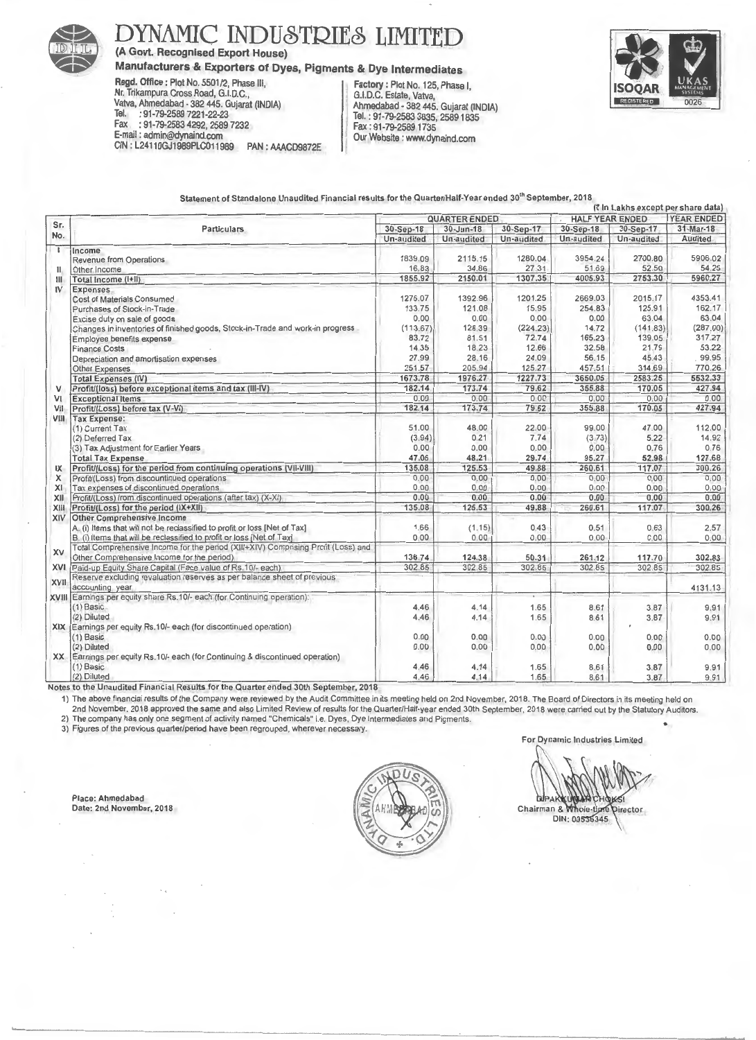

## **DYNAMIC INDUSTRIES LIMITED**

**(A Govt. Recognised Export House)** 

**Manufacturers & Exporters of Dyes, Pigments & Dye Intermediates Regd. Office: Plot No. 5501/2, Phase III, Factory: Plot No. 125, Phase II,** 

**Regd. Office:** Plot No. 5501/2, Phase Ill, **Factory:** Plot No. 125, Phase 1, nr. Trikampura Cross Road, G.I.D.C., C.I.D.C., Estate, Valva, C.I.D.C. Estate, Valva,  $\frac{1}{2}$  . 01.79.2589.7221 22.93 23.93 23.93 23.93 23.93 23.93 23.93 23.93 23.93 23.93 23.93 23.93 23.93 23.93 23.93 23.93 23.93 23.93 23.93 23.93 23.93 23.93 23.93 23.93 23.93 23.93 23.93 23.93 23.93 23.93 23.93 23.93 2 Tel. : 91-79-2589 7221-22-23 Tel. : 91-79-2583 3835,25891835 Fax : 91-79-2583 4292, 2589 7232 Fax : 91-79-2589 1735 mail : admin@dynamd.com<br>IN : L24110GJ1989PLC011989 PAN : AAACD9872E



Statement of Standalone Unaudited Financial results for the Quarter/Half-Year ended 30<sup>th</sup> September, 2018

|                |                                                                                        |                         |                               |                         |                         |                         | (र in Lakhs except per share data) |  |
|----------------|----------------------------------------------------------------------------------------|-------------------------|-------------------------------|-------------------------|-------------------------|-------------------------|------------------------------------|--|
| Sr.<br>No.     | <b>Particulars</b>                                                                     | <b>QUARTER ENDED</b>    |                               |                         | <b>HALF YEAR ENDED</b>  |                         | <b>YEAR ENDED</b>                  |  |
|                |                                                                                        | 30-Sep-18<br>Un-audited | $30 - Jun - 18$<br>Un-audited | 30-Sep-17<br>Un-audited | 30-Sep-18<br>Un-audited | 30-Sep-17<br>Un-audited | 31-Mar-18<br><b>Audited</b>        |  |
|                |                                                                                        |                         |                               |                         |                         |                         |                                    |  |
| $\overline{1}$ | Income<br><b>Revenue from Operations</b>                                               | 1839.09                 | 2115.15                       | 1280.04                 | 3954.24                 | 2700.80                 | 5906.02                            |  |
| $\mathbf{u}$   | Other Income                                                                           | 16.83                   | 34.86                         | 27.31                   | 51.69                   | 52.50                   | 54.25                              |  |
| $\mathbf{III}$ | Total Income (I+II)                                                                    | 1855.92                 | 2150.01                       | 1307.35                 | 4005.93                 | 2753.30                 | 5960.27                            |  |
| IV             | <b>Expenses</b>                                                                        |                         |                               |                         |                         |                         |                                    |  |
| V              | Cost of Materials Consumed                                                             | 1276.07                 | 1392.96                       | 1201.25                 | 2669.03                 | 2015.17                 | 4353.41                            |  |
|                | Purchases of Stock-in-Trade                                                            | 133.75                  | 121.08                        | 15.95                   | 254.83                  | 125.91                  | 162.17                             |  |
|                | Excise duty on sale of goods                                                           | 0.00                    | 0.00                          | 0.00                    | 0.00                    | 63.04                   | 63.04                              |  |
|                | Changes in inventories of finished goods, Stock-in-Trade and work-in progress          | (113.67)                | 128.39                        | (224.23)                | 14.72                   | (141.83)                | (287.00)                           |  |
|                | Employee benefits expense                                                              | 83.72                   | 81.51                         | 72.74                   | 165.23                  | 139.05                  | 317.27                             |  |
|                | <b>Finance Costs</b>                                                                   | 14.35                   | 18.23                         | 12.66                   | 32.58                   | 21.79                   | 53.22                              |  |
|                | Depreciation and amortisation expenses                                                 | 27.99                   | 28.16                         | 24.09                   | 56.15                   | 45.43                   | 99.95                              |  |
|                | Other Expenses                                                                         | 251.57                  | 205.94                        | 125.27                  | 457.51                  | 314.69                  | 770.26                             |  |
|                | <b>Total Expenses (IV)</b>                                                             | 1673.78                 | 1976.27                       | 1227.73                 | 3650.05                 | 2583.25                 | 5532.33                            |  |
|                | Profit/(loss) before exceptional items and tax (III-IV)                                | 182.14                  | 173.74                        | 79.62                   | 355.88                  | 170.05                  | 427.94                             |  |
| VI             | <b>Exceptional Items</b>                                                               | 0.00                    | 0.00                          | 0.00                    | 0.00                    | 0.00                    | 0.00                               |  |
| VII            | Profit/(Loss) before tax (V-VI)                                                        | 182.14                  | 173.74                        | 79.62                   | 355.88                  | 170.05                  | 427.94                             |  |
| VIII           | <b>Tax Expense:</b>                                                                    |                         |                               |                         |                         |                         |                                    |  |
|                | (1) Current Tax                                                                        | 51.00                   | 48.00                         | 22.00                   | 99.00                   | 47.00                   | 112.00                             |  |
|                | (2) Deferred Tax                                                                       | (3.94)                  | 0.21                          | 7.74                    | (3.73)                  | 5.22                    | 14.92                              |  |
|                | (3) Tax Adjustment for Earlier Years                                                   | 0.00                    | 0.00                          | 0.00                    | 0.00                    | 0.76                    | 0.76                               |  |
|                | <b>Total Tax Expense</b>                                                               | 47.06                   | 48.21                         | 29.74                   | 95.27                   | 52.98                   | 127.68                             |  |
|                | Profit/(Loss) for the period from continuing operations (VII-VIII)                     | 135.08                  | 125.53                        | 49.88                   | 260.61                  | 117.07                  | 300.26                             |  |
| IX             |                                                                                        | 0.00                    | 0.00                          | 0.00                    | 0.00                    | 0.00                    | 0.00                               |  |
| X              | Profit/(Loss) from discountinued operations<br>Tax expenses of discontinued operations | 0.00                    | 0.00                          | 0.00                    |                         |                         |                                    |  |
| XI             |                                                                                        | 0.00                    | 0.00                          | 0.00                    | 0.00<br>0.00            | 0.00<br>0.00            | 0.00<br>0.00                       |  |
| XII            | Profit/(Loss) from discontinued operations (after tax) (X-XI)                          |                         |                               |                         |                         |                         |                                    |  |
| XIII           | Profit/(Loss) for the period (IX+XII)                                                  | 135.08                  | 125.53                        | 49.88                   | 260.61                  | 117.07                  | 300.26                             |  |
| XIV            | <b>Other Comprehensive Income</b>                                                      |                         |                               |                         |                         |                         |                                    |  |
|                | A. (i) Items that will not be reclassified to profit or loss [Net of Tax]              | 1.66<br>0.00            | (1.15)                        | 0.43                    | 0.51                    | 0.63                    | 2.57                               |  |
|                | B. (i) Items that will be reclassified to profit or loss [Net of Tax]                  |                         | 0.00                          | 0.00                    | 0.00                    | 0.00                    | 0.00                               |  |
| XV             | Total Comprehensive Income for the period (XIII+XIV) Comprising Profit (Loss) and      |                         |                               |                         |                         |                         |                                    |  |
|                | Other Comprehensive Income for the period)                                             | 136.74                  | 124.38                        | 50.31                   | 261.12                  | 117.70                  | 302.83                             |  |
| <b>XVI</b>     | Paid-up Equity Share Capital (Face value of Rs.10/- each)                              | 302.85                  | 302.85                        | 302.85                  | 302.85                  | 302.85                  | 302.85                             |  |
| <b>XVII</b>    | Reserve excluding revaluation reserves as per balance sheet of previous                |                         |                               |                         |                         |                         |                                    |  |
|                | accounting year                                                                        |                         |                               |                         |                         |                         | 4131.13                            |  |
|                | XVIII Earnings per equity share Rs. 10/- each (for Continuing operation):              |                         |                               |                         |                         |                         |                                    |  |
|                | $(1)$ Basic.                                                                           | 4.46                    | 4.14                          | 1.65                    | 8.61                    | 3.87                    | 9.91                               |  |
|                | (2) Diluted                                                                            | 4.46                    | 4.14                          | 1.65                    | 8.61                    | 3.87                    | 9.91                               |  |
|                | XIX Earnings per equity Rs.10/- each (for discontinued operation)                      |                         |                               |                         |                         |                         |                                    |  |
|                | $(1)$ Basic                                                                            | 0.00                    | 0.00                          | 0.00                    | 0.00                    | 0.00                    | 0.00                               |  |
|                | (2) Diluted                                                                            | 0.00                    | 0.00                          | 0.00                    | 0.00                    | 0.00                    | 0.00                               |  |
| XX.            | Earnings per equity Rs.10/- each (for Continuing & discontinued operation)             |                         |                               |                         |                         |                         |                                    |  |
|                | $(1)$ Basic                                                                            | 4.46                    | 4.14                          | 1.65                    | 8.61                    | 3.87                    | 9.91                               |  |
|                | (2) Diluted                                                                            | 4.46                    | 4.14                          | 1.65                    | 8.61                    | 3.87                    | 9.91                               |  |

Notes to the Unaudited Financial Results for the Quarter ended 30th September, 2018 Notes to the Unaudtted Fmanctal Results for the Quarter ended 30th September, 2018

The above financial results of the Company were reviewed by the Audit Committee in its meeting held on 2nd November, 2018. The Board of Directors in its meeting held on The company has only one segment of activity named "Chemicals" i.e. Dyes, Dye Intermediates and Pigments.

2) The company has only one segment of activity named Onemicals T.e. Dyes, Dye intermediates and Eiginems.<br>3) Figures of the previous quarter/period have been regrouped, wherever necessary.

Place: Ahmedabad Date: 2nd November, 2018



**DIPAK** HOKEI Chairman & Whole-tipre **Director** 

DIN: 00536345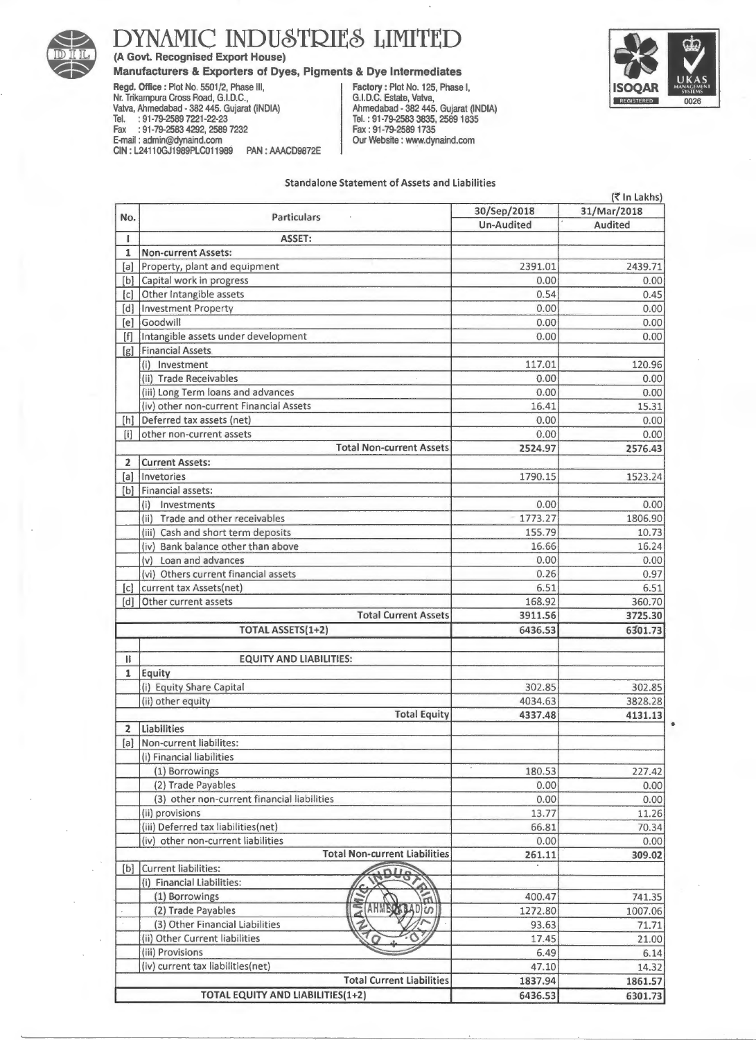

## DYNAMIC INDUSTRIES LIMITED

(A Govt. Recognised Export House)

### Manufacturers & Exporters of Dyes, Pigments & Dye Intermediates

Regd. Office: Plot No. 5501/2, Phase Ill, Nr. Trikampura Cross Road, G.I.D.C., Valva, Ahmedabad • 382 445. Gujarat (INDIA) Tel. : 91·79·2589 7221·22·23 Fax : 91· 79·2583 4292, 2589 7232 E-mail : admin@dynaind.com CIN : L2411 OGJ1989PLC011989 PAN : AAACD9872E

Factory : Plot No. 125, Phase I, Tel.: 91·79·2583 3835, 25891835 Fax : 91-79-2589 1735 Our Website : www.dynaind.com



---------------------------

#### Standalone Statement of Assets and Liabilities

|                   | (₹ In Lakhs)                                                                                          |  |  |
|-------------------|-------------------------------------------------------------------------------------------------------|--|--|
| 30/Sep/2018       | 31/Mar/2018                                                                                           |  |  |
| <b>Un-Audited</b> | Audited                                                                                               |  |  |
|                   |                                                                                                       |  |  |
|                   |                                                                                                       |  |  |
|                   | 2439.71                                                                                               |  |  |
|                   | 0.00                                                                                                  |  |  |
|                   | 0.45                                                                                                  |  |  |
|                   | 0.00                                                                                                  |  |  |
|                   | 0.00                                                                                                  |  |  |
|                   | 0.00                                                                                                  |  |  |
|                   |                                                                                                       |  |  |
|                   | 120.96                                                                                                |  |  |
|                   | 0.00                                                                                                  |  |  |
|                   | 0.00                                                                                                  |  |  |
|                   | 15.31                                                                                                 |  |  |
|                   | 0.00                                                                                                  |  |  |
| 0.00              | 0.00                                                                                                  |  |  |
| 2524.97           | 2576.43                                                                                               |  |  |
|                   |                                                                                                       |  |  |
| 1790.15           | 1523.24                                                                                               |  |  |
|                   |                                                                                                       |  |  |
| 0.00              | 0.00                                                                                                  |  |  |
| 1773.27           | 1806.90                                                                                               |  |  |
| 155.79            | 10.73                                                                                                 |  |  |
| 16.66             | 16.24                                                                                                 |  |  |
| 0.00              | 0.00                                                                                                  |  |  |
| 0.26              | 0.97                                                                                                  |  |  |
| 6.51              | 6.51                                                                                                  |  |  |
| 168.92            | 360.70                                                                                                |  |  |
|                   | 3725.30                                                                                               |  |  |
| 6436.53           | 6301.73                                                                                               |  |  |
|                   |                                                                                                       |  |  |
|                   |                                                                                                       |  |  |
|                   |                                                                                                       |  |  |
| 302.85            | 302.85                                                                                                |  |  |
| 4034.63           | 3828.28                                                                                               |  |  |
| 4337.48           | 4131.13                                                                                               |  |  |
|                   |                                                                                                       |  |  |
|                   |                                                                                                       |  |  |
|                   |                                                                                                       |  |  |
| 180.53            | 227.42                                                                                                |  |  |
| 0.00              | 0.00                                                                                                  |  |  |
| 0.00              | 0.00                                                                                                  |  |  |
| 13.77             | 11.26                                                                                                 |  |  |
| 66.81             | 70.34                                                                                                 |  |  |
| 0.00              | 0.00                                                                                                  |  |  |
| 261.11            | 309.02                                                                                                |  |  |
|                   |                                                                                                       |  |  |
|                   |                                                                                                       |  |  |
| 400.47            | 741.35                                                                                                |  |  |
| 1272.80           | 1007.06                                                                                               |  |  |
| 93.63             | 71.71                                                                                                 |  |  |
|                   |                                                                                                       |  |  |
| 17.45             |                                                                                                       |  |  |
|                   | 21.00                                                                                                 |  |  |
| 6.49              | 6.14                                                                                                  |  |  |
| 47.10<br>1837.94  | 14.32<br>1861.57                                                                                      |  |  |
|                   | 2391.01<br>0.00<br>0.54<br>0.00<br>0.00<br>0.00<br>117.01<br>0.00<br>0.00<br>16.41<br>0.00<br>3911.56 |  |  |